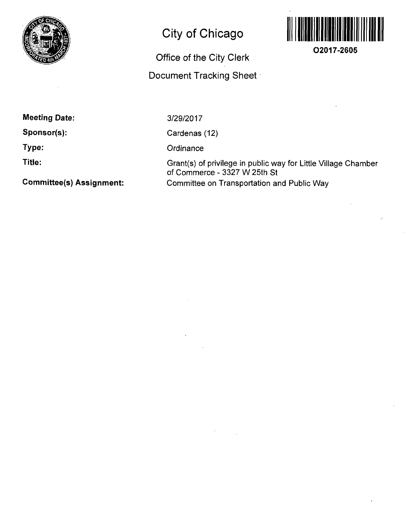

# **City of Chicago**

## **Office of the City Clerk**

### **Document Tracking Sheet**



**O2017-2605** 

**Meeting Date:** 

**Sponsor(s):** 

**Type:** 

**Title:** 

**Committee(s) Assignment:** 

3/29/2017

Cardenas (12)

**Ordinance** 

Grant(s) of privilege in public way for Little Village Chamber of Commerce - 3327 W 25th St Committee on Transportation and Public Way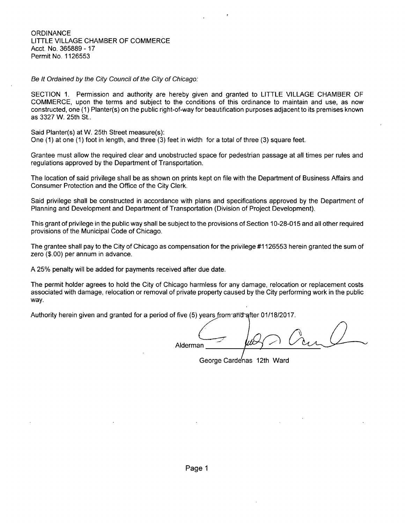**ORDINANCE** LITTLE VILLAGE CHAMBER OF COMMERCE Acct. No. 365889-17 Permit No. 1126553

Be It Ordained by the City Council of the City of Chicago:

SECTION 1. Permission and authority are hereby given and granted to LITTLE VILLAGE CHAMBER OF COMMERCE, upon the terms and subject to the conditions of this ordinance to maintain and use, as now constructed, one (1) Planter(s) on the public right-of-way for beautification purposes adjacent to its premises known as 3327 W. 25th St..

Said Planter(s) at W. 25th Street measure(s):

One (1) at one (1) foot in length, and three (3) feet in width for a total of three (3) square feet.

Grantee must allow the required clear and unobstructed space for pedestrian passage at all times per rules and regulations approved by the Department of Transportation.

The location of said privilege shall be as shown on prints kept on file with the Department of Business Affairs and Consumer Protection and the Office of the City Clerk.

Said privilege shall be constructed in accordance with plans and specifications approved by the Department of Planning and Development and Department of Transportation (Division of Project Development).

This grant of privilege in the public way shall be subject to the provisions of Section 10-28-015 and all other required provisions of the Municipal Code of Chicago.

The grantee shall pay to the City of Chicago as compensation for the privilege #1126553 herein granted the sum of zero (\$.00) per annum in advance.

A 25% penalty will be added for payments received after due date.

The permit holder agrees to hold the City of Chicago harmless for any damage, relocation or replacement costs associated with damage, relocation or removal of private property caused by the City performing work in the public way.

Authority herein given and granted for a period of five (5) years from and after 01/18/2017.

Alderman

George Carde'nas 12th Ward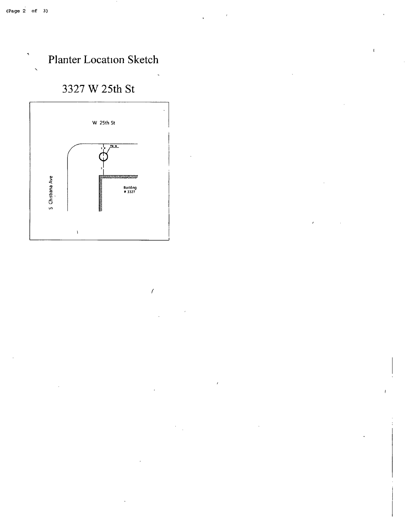$\blacktriangleleft$ 



 $\mathbf{t}$ 

### 3327 W 25th St



 $\prime$